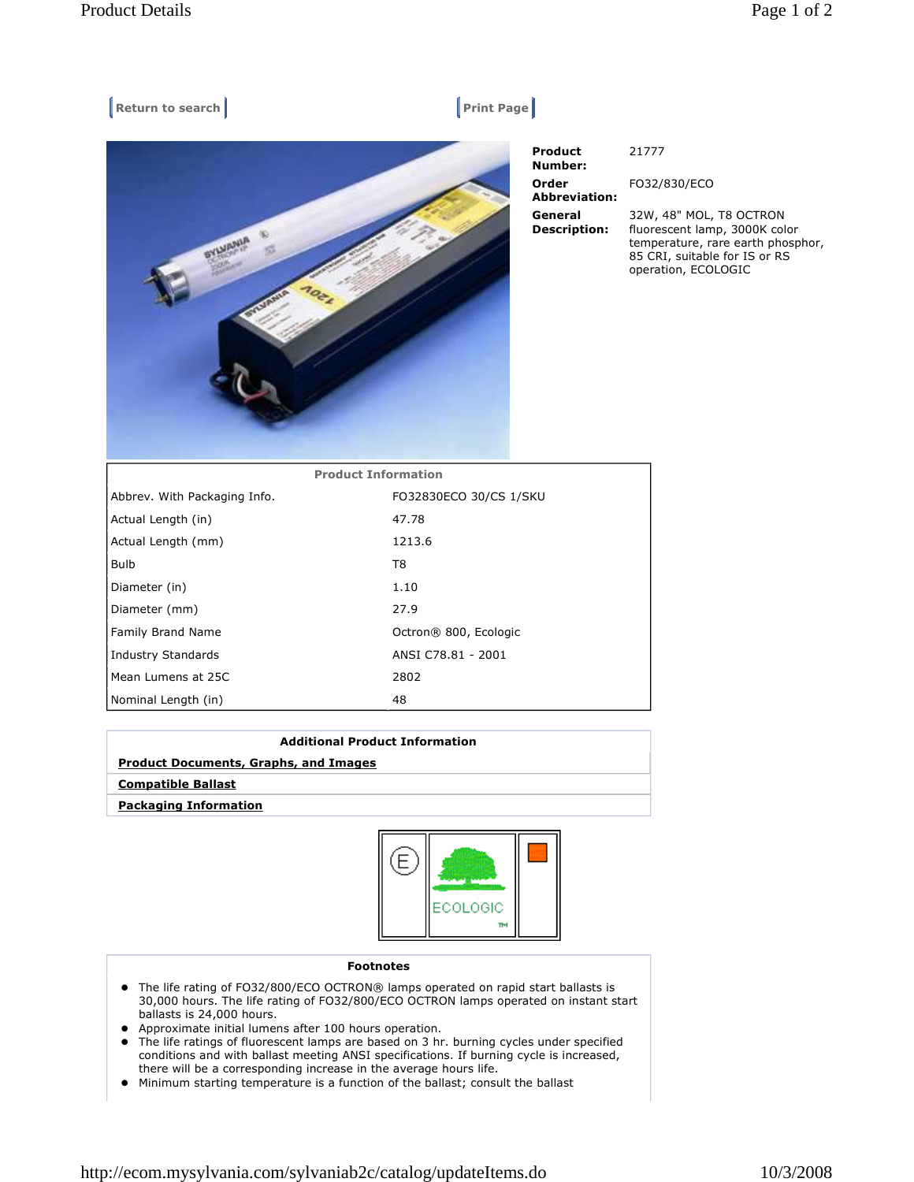| Return to search<br><b>Print Page</b> |                            |                                    |                                                                                                                                                       |
|---------------------------------------|----------------------------|------------------------------------|-------------------------------------------------------------------------------------------------------------------------------------------------------|
|                                       |                            | <b>Product</b><br>Number:<br>Order | 21777<br>FO32/830/ECO                                                                                                                                 |
|                                       |                            | <b>Abbreviation:</b>               |                                                                                                                                                       |
|                                       |                            | General<br><b>Description:</b>     | 32W, 48" MOL, T8 OCTRON<br>fluorescent lamp, 3000K color<br>temperature, rare earth phosphor,<br>85 CRI, suitable for IS or RS<br>operation, ECOLOGIC |
|                                       | <b>Product Information</b> |                                    |                                                                                                                                                       |
| Abbrev. With Packaging Info.          | FO32830ECO 30/CS 1/SKU     |                                    |                                                                                                                                                       |
| Actual Length (in)                    | 47.78                      |                                    |                                                                                                                                                       |
| Actual Length (mm)                    | 1213.6                     |                                    |                                                                                                                                                       |
| Bulb                                  | T <sub>8</sub>             |                                    |                                                                                                                                                       |
| Diameter (in)                         | 1.10                       |                                    |                                                                                                                                                       |
| Diameter (mm)                         | 27.9                       |                                    |                                                                                                                                                       |
| Family Brand Name                     | Octron® 800, Ecologic      |                                    |                                                                                                                                                       |
| <b>Industry Standards</b>             | ANSI C78.81 - 2001         |                                    |                                                                                                                                                       |
| Mean Lumens at 25C                    | 2802                       |                                    |                                                                                                                                                       |

## **Additional Product Information**

## **Product Documents, Graphs, and Images**

Nominal Length (in) 48

 **Compatible Ballast**

 **Packaging Information**



## **Footnotes**

- The life rating of FO32/800/ECO OCTRON® lamps operated on rapid start ballasts is 30,000 hours. The life rating of FO32/800/ECO OCTRON lamps operated on instant start ballasts is 24,000 hours.
- Approximate initial lumens after 100 hours operation.
- The life ratings of fluorescent lamps are based on 3 hr. burning cycles under specified conditions and with ballast meeting ANSI specifications. If burning cycle is increased, there will be a corresponding increase in the average hours life.
- Minimum starting temperature is a function of the ballast; consult the ballast